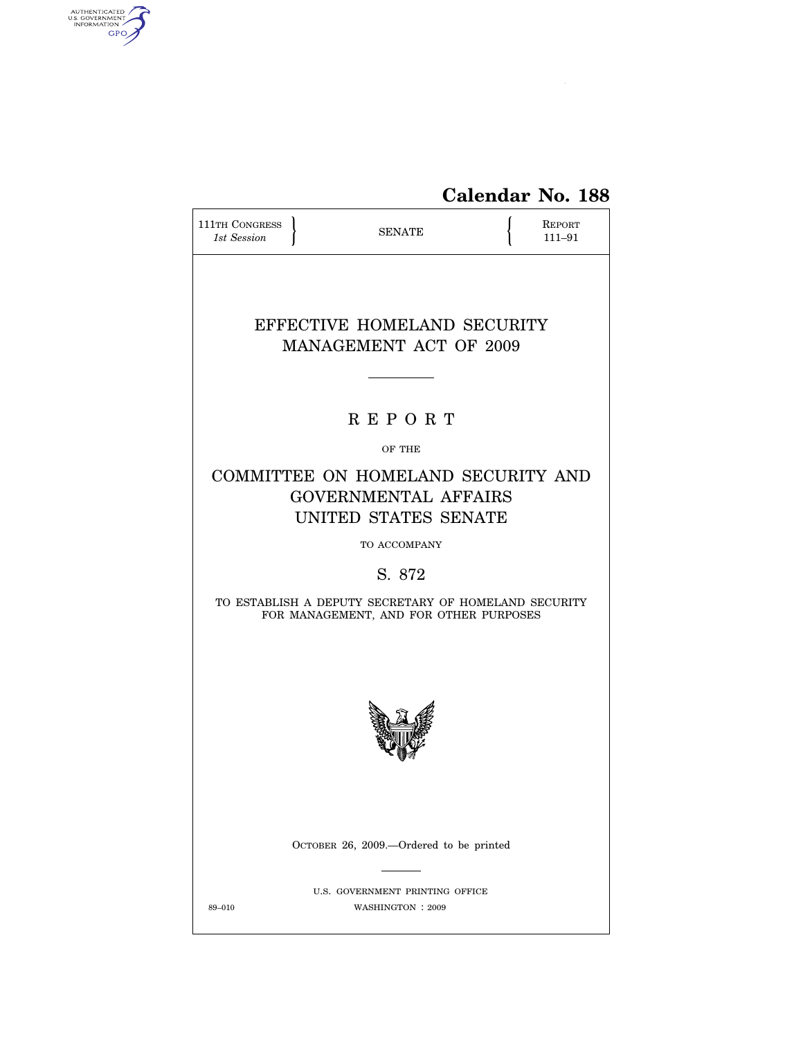

| <b>111TH CONGRESS</b><br>1st Session |                                                                                                | <b>SENATE</b>                                        |  | REPORT<br>111-91 |
|--------------------------------------|------------------------------------------------------------------------------------------------|------------------------------------------------------|--|------------------|
|                                      | EFFECTIVE HOMELAND SECURITY<br><b>MANAGEMENT ACT OF 2009</b>                                   |                                                      |  |                  |
|                                      |                                                                                                |                                                      |  |                  |
|                                      |                                                                                                | <b>REPORT</b>                                        |  |                  |
|                                      |                                                                                                | OF THE                                               |  |                  |
|                                      | COMMITTEE ON HOMELAND SECURITY AND<br><b>GOVERNMENTAL AFFAIRS</b><br>UNITED STATES SENATE      |                                                      |  |                  |
|                                      |                                                                                                | TO ACCOMPANY                                         |  |                  |
|                                      |                                                                                                | S. 872                                               |  |                  |
|                                      | TO ESTABLISH A DEPUTY SECRETARY OF HOMELAND SECURITY<br>FOR MANAGEMENT, AND FOR OTHER PURPOSES |                                                      |  |                  |
|                                      |                                                                                                |                                                      |  |                  |
|                                      | OCTOBER 26, 2009.—Ordered to be printed                                                        |                                                      |  |                  |
| 89-010                               |                                                                                                | U.S. GOVERNMENT PRINTING OFFICE<br>WASHINGTON : 2009 |  |                  |

 $\widehat{\mathbf{f}}$ 

AUTHENTICATED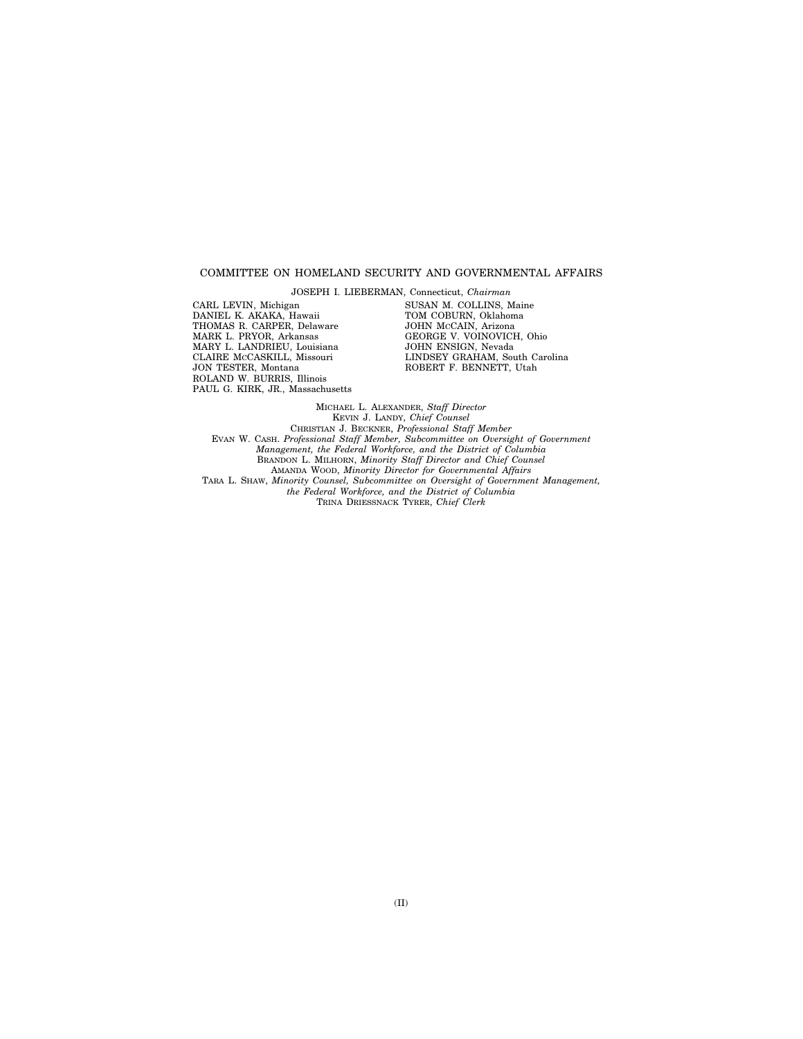## COMMITTEE ON HOMELAND SECURITY AND GOVERNMENTAL AFFAIRS

JOSEPH I. LIEBERMAN, Connecticut, *Chairman*  CARL LEVIN, Michigan DANIEL K. AKAKA, Hawaii THOMAS R. CARPER, Delaware MARK L. PRYOR, Arkansas MARY L. LANDRIEU, Louisiana CLAIRE MCCASKILL, Missouri JON TESTER, Montana ROLAND W. BURRIS, Illinois PAUL G. KIRK, JR., Massachusetts

SUSAN M. COLLINS, Maine TOM COBURN, Oklahoma JOHN MCCAIN, Arizona GEORGE V. VOINOVICH, Ohio JOHN ENSIGN, Nevada LINDSEY GRAHAM, South Carolina ROBERT F. BENNETT, Utah

MICHAEL L. ALEXANDER, *Staff Director*  KEVIN J. LANDY, *Chief Counsel*  CHRISTIAN J. BECKNER, *Professional Staff Member*  EVAN W. CASH. *Professional Staff Member, Subcommittee on Oversight of Government Management, the Federal Workforce, and the District of Columbia*  BRANDON L. MILHORN, *Minority Staff Director and Chief Counsel*  AMANDA WOOD, *Minority Director for Governmental Affairs*  TARA L. SHAW, *Minority Counsel, Subcommittee on Oversight of Government Management, the Federal Workforce, and the District of Columbia*  TRINA DRIESSNACK TYRER, *Chief Clerk*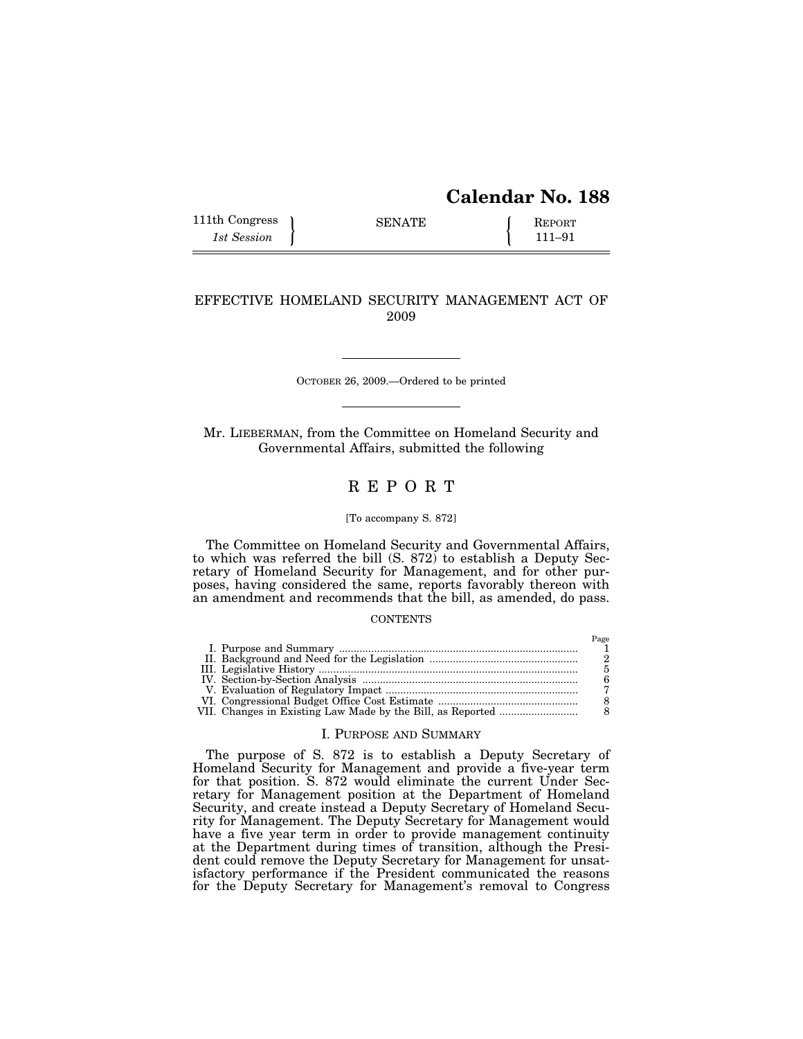# **Calendar No. 188**

| 111th Congress | <b>SENATE</b> | <b>REPORT</b> |
|----------------|---------------|---------------|
| 1st Session    |               | $111 - 91$    |

## EFFECTIVE HOMELAND SECURITY MANAGEMENT ACT OF 2009

OCTOBER 26, 2009.—Ordered to be printed

Mr. LIEBERMAN, from the Committee on Homeland Security and Governmental Affairs, submitted the following

# R E P O R T

## [To accompany S. 872]

The Committee on Homeland Security and Governmental Affairs, to which was referred the bill (S. 872) to establish a Deputy Secretary of Homeland Security for Management, and for other purposes, having considered the same, reports favorably thereon with an amendment and recommends that the bill, as amended, do pass.

## **CONTENTS**

## I. PURPOSE AND SUMMARY

The purpose of S. 872 is to establish a Deputy Secretary of Homeland Security for Management and provide a five-year term for that position. S. 872 would eliminate the current Under Secretary for Management position at the Department of Homeland Security, and create instead a Deputy Secretary of Homeland Security for Management. The Deputy Secretary for Management would have a five year term in order to provide management continuity at the Department during times of transition, although the President could remove the Deputy Secretary for Management for unsatisfactory performance if the President communicated the reasons for the Deputy Secretary for Management's removal to Congress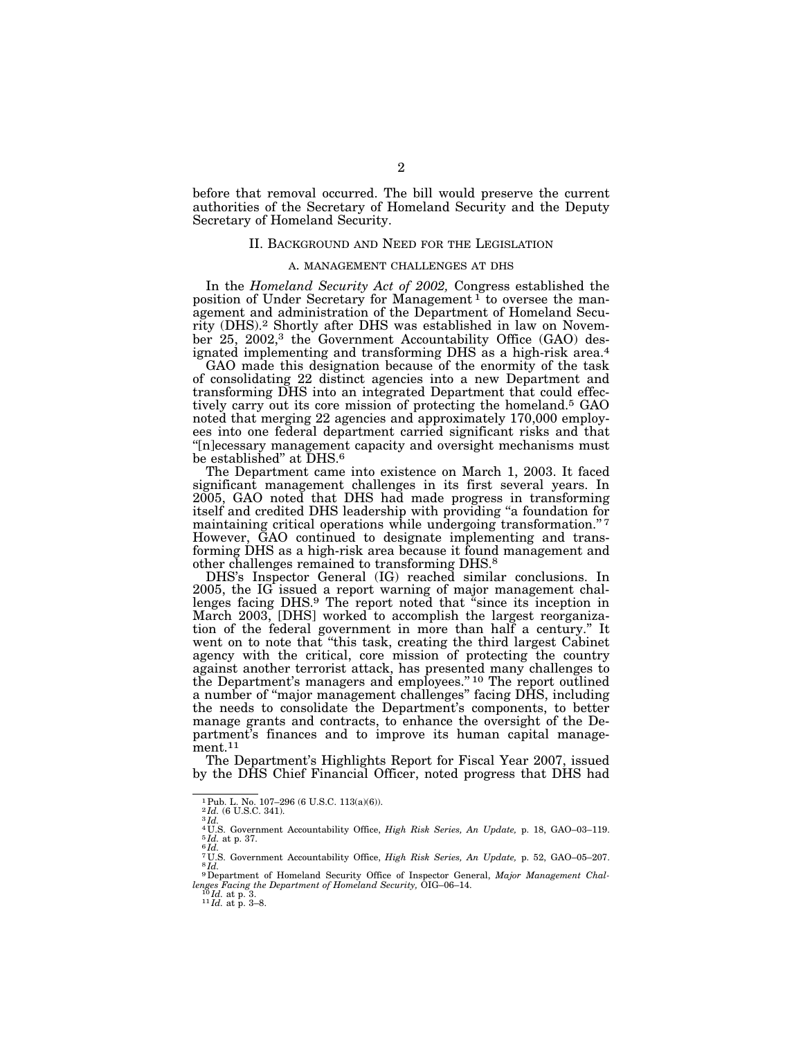before that removal occurred. The bill would preserve the current authorities of the Secretary of Homeland Security and the Deputy Secretary of Homeland Security.

### II. BACKGROUND AND NEED FOR THE LEGISLATION

#### A. MANAGEMENT CHALLENGES AT DHS

In the *Homeland Security Act of 2002,* Congress established the position of Under Secretary for Management<sup>1</sup> to oversee the management and administration of the Department of Homeland Security (DHS).2 Shortly after DHS was established in law on November 25, 2002,<sup>3</sup> the Government Accountability Office (GAO) designated implementing and transforming DHS as a high-risk area.4

GAO made this designation because of the enormity of the task of consolidating 22 distinct agencies into a new Department and transforming DHS into an integrated Department that could effectively carry out its core mission of protecting the homeland.5 GAO noted that merging 22 agencies and approximately 170,000 employees into one federal department carried significant risks and that ''[n]ecessary management capacity and oversight mechanisms must be established" at DHS.<sup>6</sup>

The Department came into existence on March 1, 2003. It faced significant management challenges in its first several years. In 2005, GAO noted that DHS had made progress in transforming itself and credited DHS leadership with providing ''a foundation for maintaining critical operations while undergoing transformation."<sup>7</sup> However, GAO continued to designate implementing and transforming DHS as a high-risk area because it found management and other challenges remained to transforming DHS.8

DHS's Inspector General (IG) reached similar conclusions. In 2005, the IG issued a report warning of major management challenges facing DHS.<sup>9</sup> The report noted that "since its inception in March 2003, [DHS] worked to accomplish the largest reorganization of the federal government in more than half a century.'' It went on to note that ''this task, creating the third largest Cabinet agency with the critical, core mission of protecting the country against another terrorist attack, has presented many challenges to the Department's managers and employees.'' 10 The report outlined a number of ''major management challenges'' facing DHS, including the needs to consolidate the Department's components, to better manage grants and contracts, to enhance the oversight of the Department's finances and to improve its human capital management.11

The Department's Highlights Report for Fiscal Year 2007, issued by the DHS Chief Financial Officer, noted progress that DHS had

<sup>&</sup>lt;sup>1</sup> Pub. L. No. 107–296 (6 U.S.C. 113(a)(6)).<br><sup>2</sup>*Id.* (6 U.S.C. 341). <sup>3</sup>*Id.* 

<sup>&</sup>lt;sup>4 U.S.</sup> Government Accountability Office, *High Risk Series, An Update*, p. 18, GAO–03–119. <sup>5</sup> *Id.* at p. 37. <sup>6</sup> *Id.* 

<sup>7</sup> U.S. Government Accountability Office, *High Risk Series, An Update,* p. 52, GAO–05–207. 8 *Id.* 

<sup>9</sup>Department of Homeland Security Office of Inspector General, *Major Management Challenges Facing the Department of Homeland Security,* OIG–06–14. 10 *Id.* at p. 3. 11 *Id.* at p. 3–8.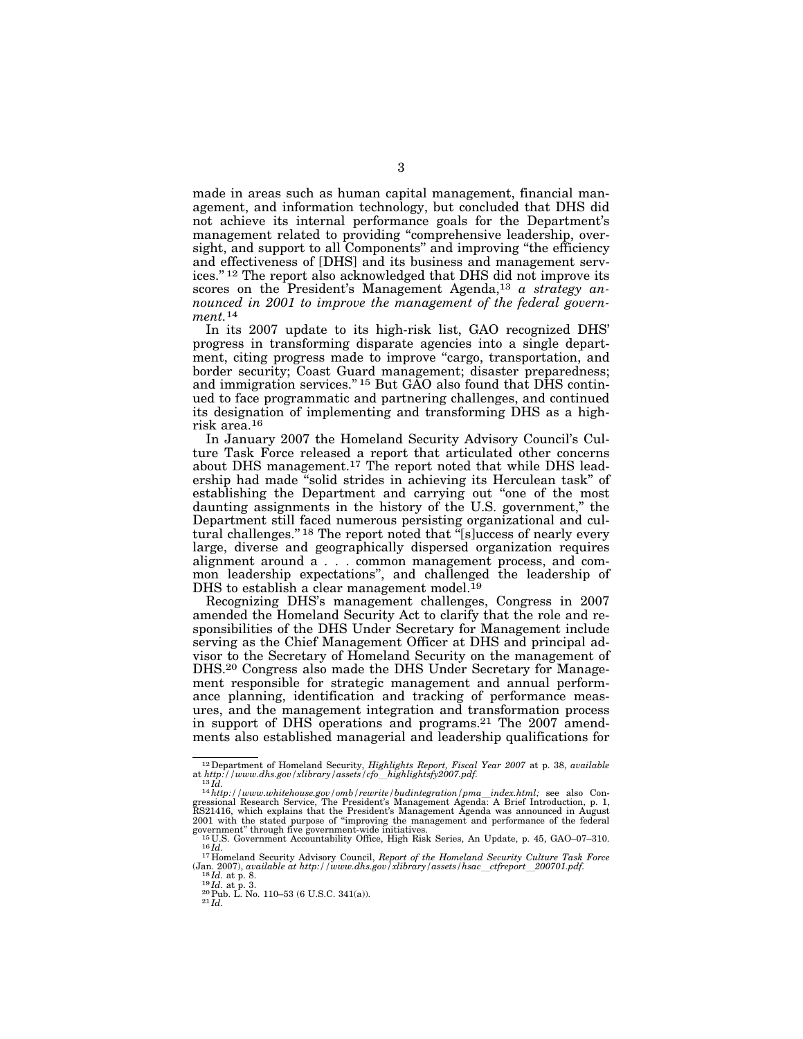made in areas such as human capital management, financial management, and information technology, but concluded that DHS did not achieve its internal performance goals for the Department's management related to providing ''comprehensive leadership, oversight, and support to all Components" and improving "the efficiency and effectiveness of [DHS] and its business and management services.'' 12 The report also acknowledged that DHS did not improve its scores on the President's Management Agenda,<sup>13</sup> *a strategy announced in 2001 to improve the management of the federal government.*14

In its 2007 update to its high-risk list, GAO recognized DHS' progress in transforming disparate agencies into a single department, citing progress made to improve "cargo, transportation, and border security; Coast Guard management; disaster preparedness; and immigration services."<sup>15</sup> But GAO also found that DHS continued to face programmatic and partnering challenges, and continued its designation of implementing and transforming DHS as a highrisk area.16

In January 2007 the Homeland Security Advisory Council's Culture Task Force released a report that articulated other concerns about DHS management.17 The report noted that while DHS leadership had made ''solid strides in achieving its Herculean task'' of establishing the Department and carrying out "one of the most daunting assignments in the history of the U.S. government,'' the Department still faced numerous persisting organizational and cultural challenges."<sup>18</sup> The report noted that "[s]uccess of nearly every large, diverse and geographically dispersed organization requires alignment around a . . . common management process, and common leadership expectations'', and challenged the leadership of DHS to establish a clear management model.<sup>19</sup>

Recognizing DHS's management challenges, Congress in 2007 amended the Homeland Security Act to clarify that the role and responsibilities of the DHS Under Secretary for Management include serving as the Chief Management Officer at DHS and principal advisor to the Secretary of Homeland Security on the management of DHS.20 Congress also made the DHS Under Secretary for Management responsible for strategic management and annual performance planning, identification and tracking of performance measures, and the management integration and transformation process in support of DHS operations and programs.21 The 2007 amendments also established managerial and leadership qualifications for

<sup>&</sup>lt;sup>12</sup> Department of Homeland Security, *Highlights Report, Fiscal Year 2007* at p. 38, *available* at *http://www.dhs.gov/xlibrary/assets/cfo*\_highlightsfy2007.pdf.<br><sup>13</sup>*Id.*<br><sup>14</sup>*http://www.whitehouse.gov/omb/rewrite/budi* 

gressional Research Service, The President's Management Agenda: A Brief Introduction, p. 1,<br>RS21416, which explains that the President's Management Agenda was announced in August<br>2001 with the stated purpose of "improving

government" through five government-wide initiatives.<br>  $^{15}$ U.S. Government Accountability Office, High Risk Series, An Update, p. 45, GAO–07–310.<br>  $^{16}$ Id.<br>  $^{17}$ Homeland Security Advisory Council, *Report of the Home* 

<sup>18</sup>*Id.* at p. 8.<br>
<sup>19</sup>*Id.* at p. 3.<br>
<sup>20</sup>Pub. L. No. 110–53 (6 U.S.C. 341(a)).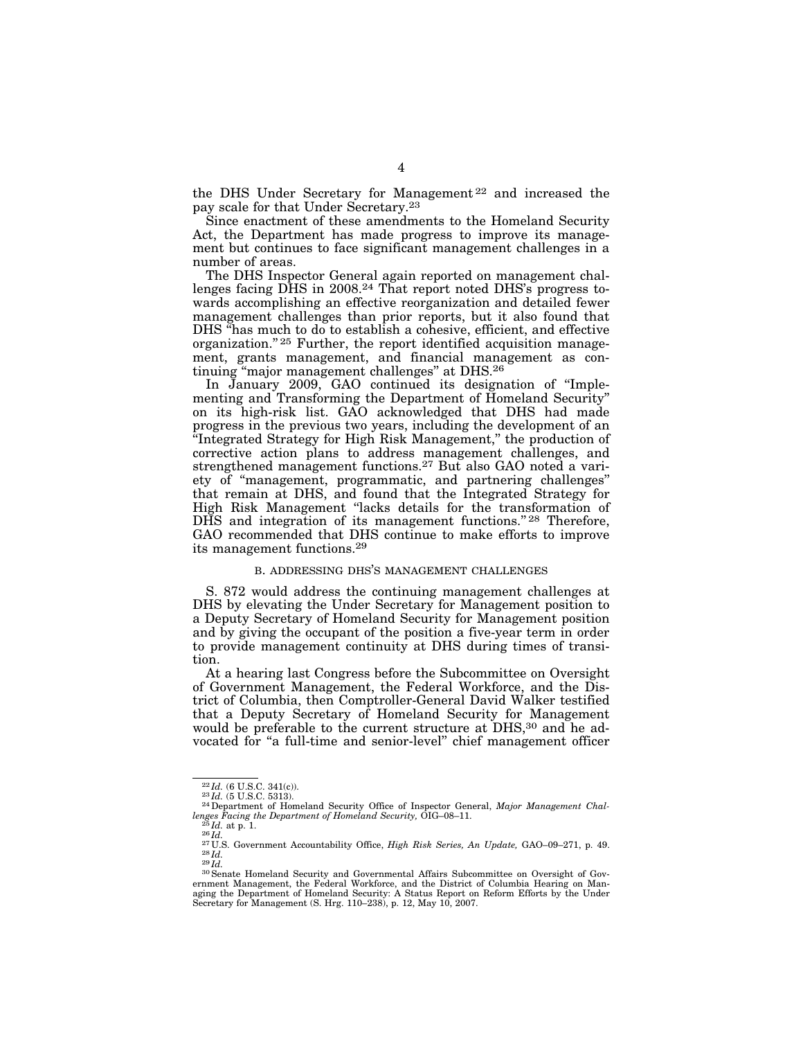the DHS Under Secretary for Management 22 and increased the pay scale for that Under Secretary.23

Since enactment of these amendments to the Homeland Security Act, the Department has made progress to improve its management but continues to face significant management challenges in a number of areas.

The DHS Inspector General again reported on management challenges facing DHS in 2008.<sup>24</sup> That report noted DHS's progress towards accomplishing an effective reorganization and detailed fewer management challenges than prior reports, but it also found that DHS ''has much to do to establish a cohesive, efficient, and effective organization."<sup>25</sup> Further, the report identified acquisition management, grants management, and financial management as continuing ''major management challenges'' at DHS.26

In January 2009, GAO continued its designation of ''Implementing and Transforming the Department of Homeland Security'' on its high-risk list. GAO acknowledged that DHS had made progress in the previous two years, including the development of an ''Integrated Strategy for High Risk Management,'' the production of corrective action plans to address management challenges, and strengthened management functions.27 But also GAO noted a variety of ''management, programmatic, and partnering challenges'' that remain at DHS, and found that the Integrated Strategy for High Risk Management ''lacks details for the transformation of DHS and integration of its management functions."<sup>28</sup> Therefore, GAO recommended that DHS continue to make efforts to improve its management functions.29

### B. ADDRESSING DHS'S MANAGEMENT CHALLENGES

S. 872 would address the continuing management challenges at DHS by elevating the Under Secretary for Management position to a Deputy Secretary of Homeland Security for Management position and by giving the occupant of the position a five-year term in order to provide management continuity at DHS during times of transition.

At a hearing last Congress before the Subcommittee on Oversight of Government Management, the Federal Workforce, and the District of Columbia, then Comptroller-General David Walker testified that a Deputy Secretary of Homeland Security for Management would be preferable to the current structure at DHS,<sup>30</sup> and he advocated for "a full-time and senior-level" chief management officer

<sup>22</sup> *Id.* (6 U.S.C. 341(c)). 23 *Id.* (5 U.S.C. 5313). 24Department of Homeland Security Office of Inspector General, *Major Management Chal-*

Lenges Facing the Department of Homeland Security, OIG-08-11.<br>
<sup>25</sup>Id. at p. 1.<br>
<sup>26</sup>Id. Covernment Accountability Office, *High Risk Series, An Update*, GAO-09-271, p. 49.<br>
<sup>27</sup>U.S. Government Accountability Office, *Hig* aging the Department of Homeland Security: A Status Report on Reform Efforts by the Under Secretary for Management (S. Hrg. 110–238), p. 12, May 10, 2007.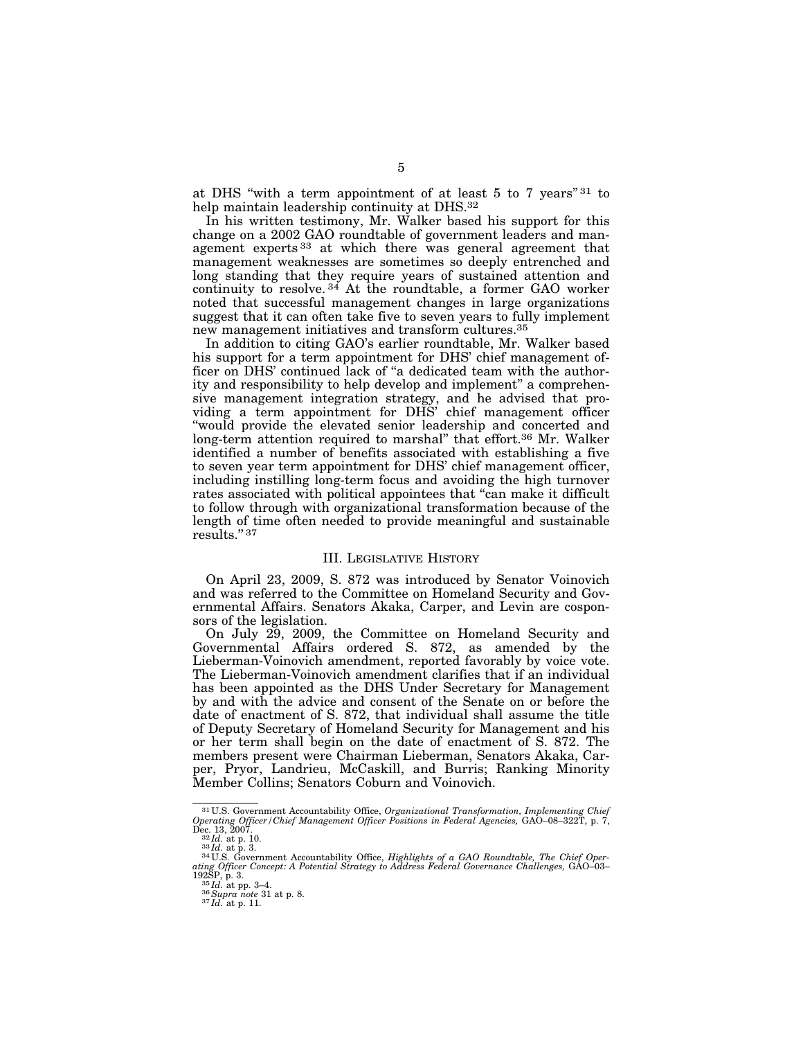at DHS "with a term appointment of at least 5 to 7 years"<sup>31</sup> to help maintain leadership continuity at DHS.32

In his written testimony, Mr. Walker based his support for this change on a 2002 GAO roundtable of government leaders and management experts<sup>33</sup> at which there was general agreement that management weaknesses are sometimes so deeply entrenched and long standing that they require years of sustained attention and continuity to resolve.<sup>34</sup> At the roundtable, a former GAO worker noted that successful management changes in large organizations suggest that it can often take five to seven years to fully implement new management initiatives and transform cultures.35

In addition to citing GAO's earlier roundtable, Mr. Walker based his support for a term appointment for DHS' chief management officer on DHS' continued lack of ''a dedicated team with the authority and responsibility to help develop and implement'' a comprehensive management integration strategy, and he advised that providing a term appointment for DHS' chief management officer ''would provide the elevated senior leadership and concerted and long-term attention required to marshal'' that effort.36 Mr. Walker identified a number of benefits associated with establishing a five to seven year term appointment for DHS' chief management officer, including instilling long-term focus and avoiding the high turnover rates associated with political appointees that "can make it difficult" to follow through with organizational transformation because of the length of time often needed to provide meaningful and sustainable results.'' 37

#### III. LEGISLATIVE HISTORY

On April 23, 2009, S. 872 was introduced by Senator Voinovich and was referred to the Committee on Homeland Security and Governmental Affairs. Senators Akaka, Carper, and Levin are cosponsors of the legislation.

On July 29, 2009, the Committee on Homeland Security and Governmental Affairs ordered S. 872, as amended by the Lieberman-Voinovich amendment, reported favorably by voice vote. The Lieberman-Voinovich amendment clarifies that if an individual has been appointed as the DHS Under Secretary for Management by and with the advice and consent of the Senate on or before the date of enactment of S. 872, that individual shall assume the title of Deputy Secretary of Homeland Security for Management and his or her term shall begin on the date of enactment of S. 872. The members present were Chairman Lieberman, Senators Akaka, Carper, Pryor, Landrieu, McCaskill, and Burris; Ranking Minority Member Collins; Senators Coburn and Voinovich.

<sup>31</sup> U.S. Government Accountability Office, *Organizational Transformation, Implementing Chief Operating Officer/Chief Management Officer Positions in Federal Agencies,* GAO–08–322T, p. 7,

Dec. 13, 2007.<br>
<sup>32</sup>Id. at p. 10.<br>
<sup>32</sup>Id. at p. 3.<br>
<sup>33</sup>Id. at p. 3.<br>
<sup>34</sup>U.S. Government Accountability Office, *Highlights of a GAO Roundtable, The Chief Oper-*<br> *ding Officer Concept: A Potential Strategy to Address F*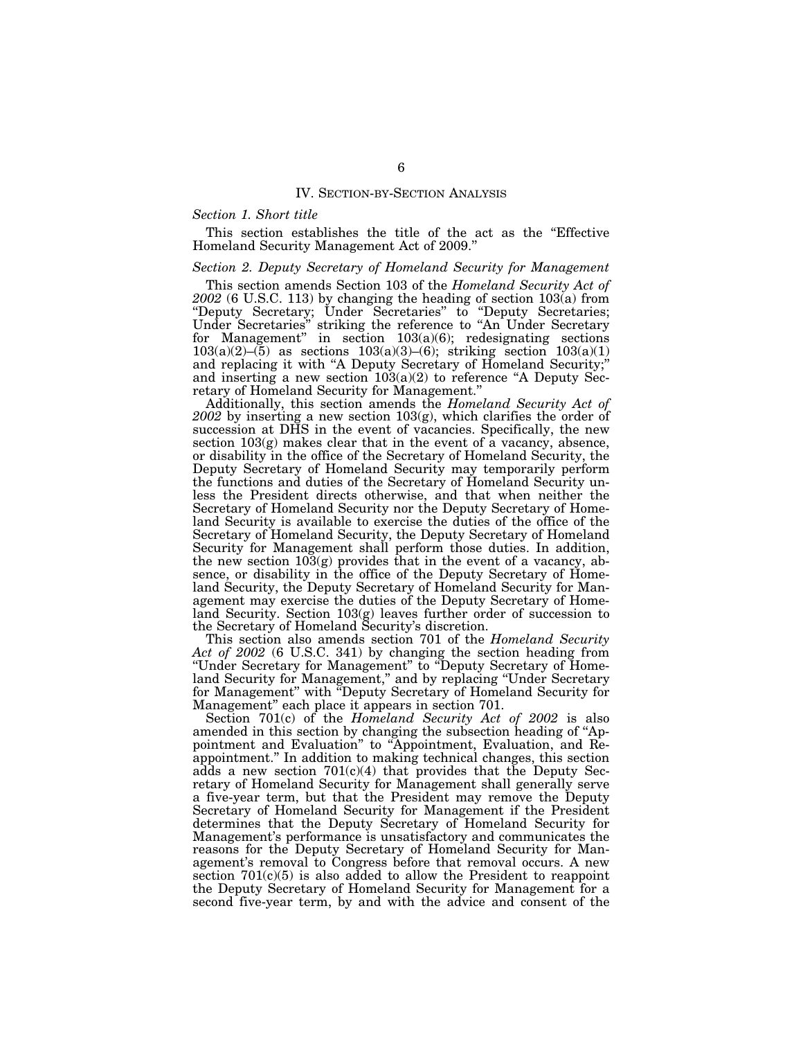### IV. SECTION-BY-SECTION ANALYSIS

### *Section 1. Short title*

This section establishes the title of the act as the ''Effective Homeland Security Management Act of 2009.''

## *Section 2. Deputy Secretary of Homeland Security for Management*

This section amends Section 103 of the *Homeland Security Act of 2002* (6 U.S.C. 113) by changing the heading of section 103(a) from ''Deputy Secretary; Under Secretaries'' to ''Deputy Secretaries; Under Secretaries'' striking the reference to ''An Under Secretary for Management'' in section 103(a)(6); redesignating sections 103(a)(2)–(5) as sections 103(a)(3)–(6); striking section  $103(a)(1)$ and replacing it with ''A Deputy Secretary of Homeland Security;'' and inserting a new section  $103(a)(2)$  to reference "A Deputy Secretary of Homeland Security for Management.''

Additionally, this section amends the *Homeland Security Act of 2002* by inserting a new section 103(g), which clarifies the order of succession at DHS in the event of vacancies. Specifically, the new section 103(g) makes clear that in the event of a vacancy, absence, or disability in the office of the Secretary of Homeland Security, the Deputy Secretary of Homeland Security may temporarily perform the functions and duties of the Secretary of Homeland Security unless the President directs otherwise, and that when neither the Secretary of Homeland Security nor the Deputy Secretary of Homeland Security is available to exercise the duties of the office of the Secretary of Homeland Security, the Deputy Secretary of Homeland Security for Management shall perform those duties. In addition, the new section 103(g) provides that in the event of a vacancy, absence, or disability in the office of the Deputy Secretary of Homeland Security, the Deputy Secretary of Homeland Security for Management may exercise the duties of the Deputy Secretary of Homeland Security. Section 103(g) leaves further order of succession to the Secretary of Homeland Security's discretion.

This section also amends section 701 of the *Homeland Security Act of 2002* (6 U.S.C. 341) by changing the section heading from ''Under Secretary for Management'' to ''Deputy Secretary of Homeland Security for Management,'' and by replacing ''Under Secretary for Management'' with ''Deputy Secretary of Homeland Security for Management'' each place it appears in section 701.

Section 701(c) of the *Homeland Security Act of 2002* is also amended in this section by changing the subsection heading of ''Appointment and Evaluation'' to ''Appointment, Evaluation, and Reappointment.'' In addition to making technical changes, this section adds a new section  $701(c)(4)$  that provides that the Deputy Secretary of Homeland Security for Management shall generally serve a five-year term, but that the President may remove the Deputy Secretary of Homeland Security for Management if the President determines that the Deputy Secretary of Homeland Security for Management's performance is unsatisfactory and communicates the reasons for the Deputy Secretary of Homeland Security for Management's removal to Congress before that removal occurs. A new section  $701(c)(5)$  is also added to allow the President to reappoint the Deputy Secretary of Homeland Security for Management for a second five-year term, by and with the advice and consent of the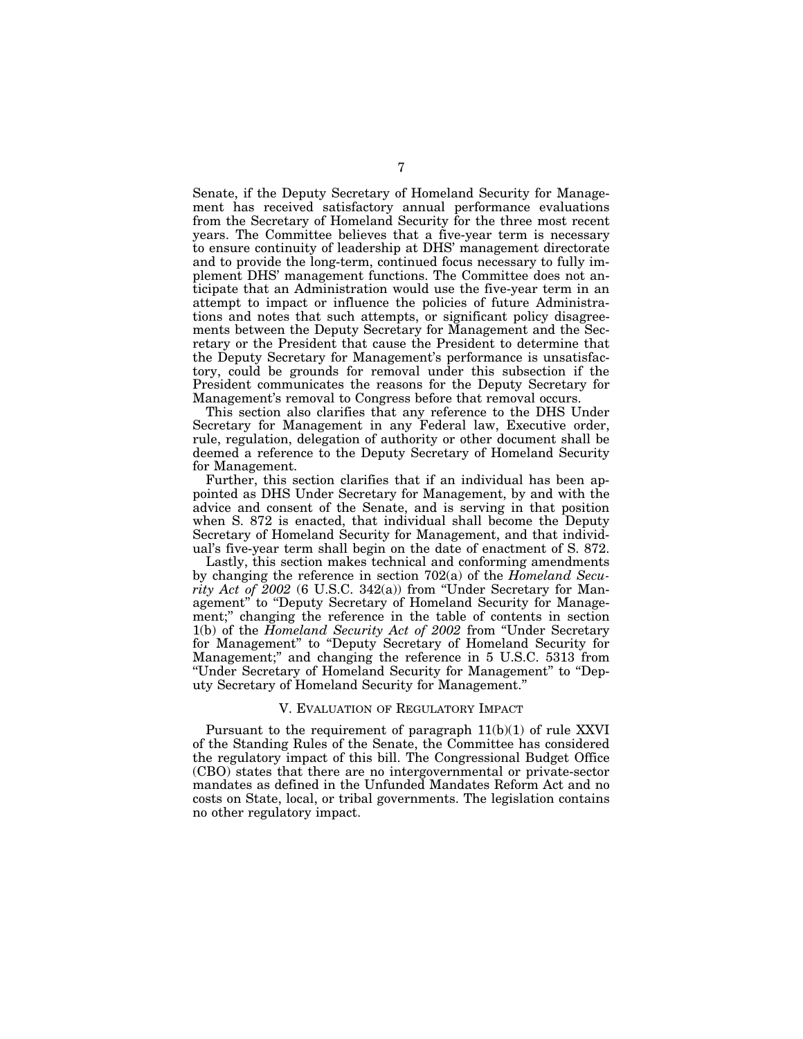Senate, if the Deputy Secretary of Homeland Security for Management has received satisfactory annual performance evaluations from the Secretary of Homeland Security for the three most recent years. The Committee believes that a five-year term is necessary to ensure continuity of leadership at DHS' management directorate and to provide the long-term, continued focus necessary to fully implement DHS' management functions. The Committee does not anticipate that an Administration would use the five-year term in an attempt to impact or influence the policies of future Administrations and notes that such attempts, or significant policy disagreements between the Deputy Secretary for Management and the Secretary or the President that cause the President to determine that the Deputy Secretary for Management's performance is unsatisfactory, could be grounds for removal under this subsection if the President communicates the reasons for the Deputy Secretary for Management's removal to Congress before that removal occurs.

This section also clarifies that any reference to the DHS Under Secretary for Management in any Federal law, Executive order, rule, regulation, delegation of authority or other document shall be deemed a reference to the Deputy Secretary of Homeland Security for Management.

Further, this section clarifies that if an individual has been appointed as DHS Under Secretary for Management, by and with the advice and consent of the Senate, and is serving in that position when S. 872 is enacted, that individual shall become the Deputy Secretary of Homeland Security for Management, and that individual's five-year term shall begin on the date of enactment of S. 872.

Lastly, this section makes technical and conforming amendments by changing the reference in section 702(a) of the *Homeland Security Act of 2002* (6 U.S.C. 342(a)) from ''Under Secretary for Management" to "Deputy Secretary of Homeland Security for Management;'' changing the reference in the table of contents in section 1(b) of the *Homeland Security Act of 2002* from ''Under Secretary for Management'' to ''Deputy Secretary of Homeland Security for Management;'' and changing the reference in 5 U.S.C. 5313 from ''Under Secretary of Homeland Security for Management'' to ''Deputy Secretary of Homeland Security for Management.''

#### V. EVALUATION OF REGULATORY IMPACT

Pursuant to the requirement of paragraph  $11(b)(1)$  of rule XXVI of the Standing Rules of the Senate, the Committee has considered the regulatory impact of this bill. The Congressional Budget Office (CBO) states that there are no intergovernmental or private-sector mandates as defined in the Unfunded Mandates Reform Act and no costs on State, local, or tribal governments. The legislation contains no other regulatory impact.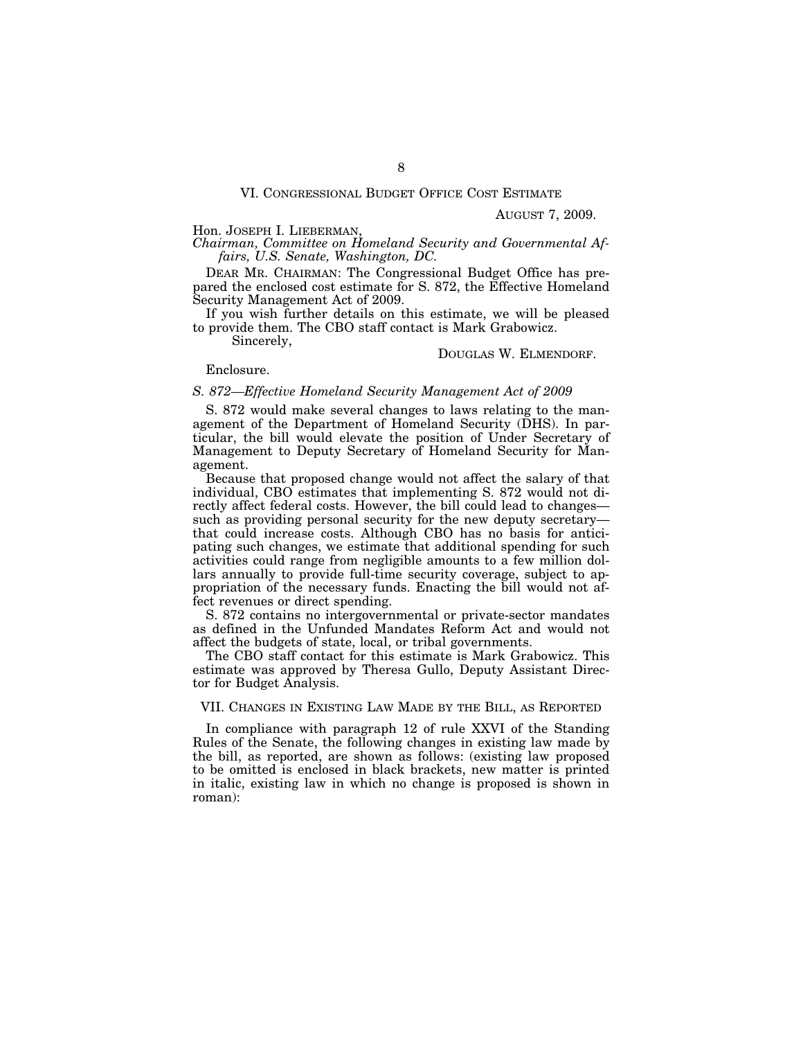AUGUST 7, 2009.

Hon. JOSEPH I. LIEBERMAN, *Chairman, Committee on Homeland Security and Governmental Affairs, U.S. Senate, Washington, DC.* 

DEAR MR. CHAIRMAN: The Congressional Budget Office has prepared the enclosed cost estimate for S. 872, the Effective Homeland Security Management Act of 2009.

If you wish further details on this estimate, we will be pleased to provide them. The CBO staff contact is Mark Grabowicz.

Sincerely,

#### DOUGLAS W. ELMENDORF.

Enclosure.

### *S. 872—Effective Homeland Security Management Act of 2009*

S. 872 would make several changes to laws relating to the management of the Department of Homeland Security (DHS). In particular, the bill would elevate the position of Under Secretary of Management to Deputy Secretary of Homeland Security for Management.

Because that proposed change would not affect the salary of that individual, CBO estimates that implementing S. 872 would not directly affect federal costs. However, the bill could lead to changes such as providing personal security for the new deputy secretary that could increase costs. Although CBO has no basis for anticipating such changes, we estimate that additional spending for such activities could range from negligible amounts to a few million dollars annually to provide full-time security coverage, subject to appropriation of the necessary funds. Enacting the bill would not affect revenues or direct spending.

S. 872 contains no intergovernmental or private-sector mandates as defined in the Unfunded Mandates Reform Act and would not affect the budgets of state, local, or tribal governments.

The CBO staff contact for this estimate is Mark Grabowicz. This estimate was approved by Theresa Gullo, Deputy Assistant Director for Budget Analysis.

## VII. CHANGES IN EXISTING LAW MADE BY THE BILL, AS REPORTED

In compliance with paragraph 12 of rule XXVI of the Standing Rules of the Senate, the following changes in existing law made by the bill, as reported, are shown as follows: (existing law proposed to be omitted is enclosed in black brackets, new matter is printed in italic, existing law in which no change is proposed is shown in roman):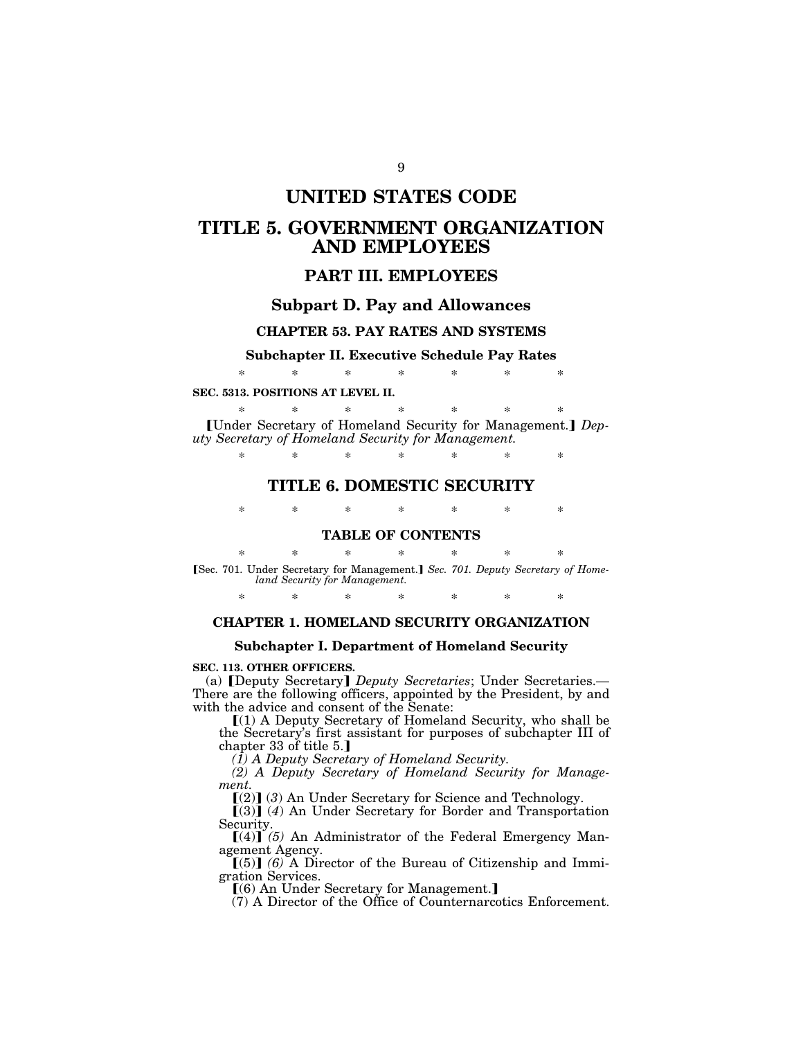# **UNITED STATES CODE**

# **TITLE 5. GOVERNMENT ORGANIZATION AND EMPLOYEES**

# **PART III. EMPLOYEES**

## **Subpart D. Pay and Allowances**

# **CHAPTER 53. PAY RATES AND SYSTEMS**

# **Subchapter II. Executive Schedule Pay Rates**  \* \* \* \* \* \* \*

#### **SEC. 5313. POSITIONS AT LEVEL II.**

\* \* \* \* \* \* \* [Under Secretary of Homeland Security for Management.] Dep*uty Secretary of Homeland Security for Management.* 

\* \* \* \* \* \* \*

# **TITLE 6. DOMESTIC SECURITY**

\* \* \* \* \* \* \*

## **TABLE OF CONTENTS**

\* \* \* \* \* \* \* [Sec. 701. Under Secretary for Management.] Sec. 701. Deputy Secretary of Home*land Security for Management.* 

\* \* \* \* \* \* \*

# **CHAPTER 1. HOMELAND SECURITY ORGANIZATION**

## **Subchapter I. Department of Homeland Security**

## **SEC. 113. OTHER OFFICERS.**

(a) **[Deputy Secretary]** *Deputy Secretaries*; Under Secretaries.— There are the following officers, appointed by the President, by and with the advice and consent of the Senate:

 $(1)$  A Deputy Secretary of Homeland Security, who shall be the Secretary's first assistant for purposes of subchapter III of chapter 33 of title  $5.$ ]

*(1) A Deputy Secretary of Homeland Security.* 

*(2) A Deputy Secretary of Homeland Security for Management.* 

 $[(2)]$  (3) An Under Secretary for Science and Technology.

[(3)] (4) An Under Secretary for Border and Transportation Security.

 $[(4)]$ <sup> $(5)$ </sup> An Administrator of the Federal Emergency Management Agency.

 $(5)$  (6) A Director of the Bureau of Citizenship and Immigration Services.

 $(6)$  An Under Secretary for Management.

(7) A Director of the Office of Counternarcotics Enforcement.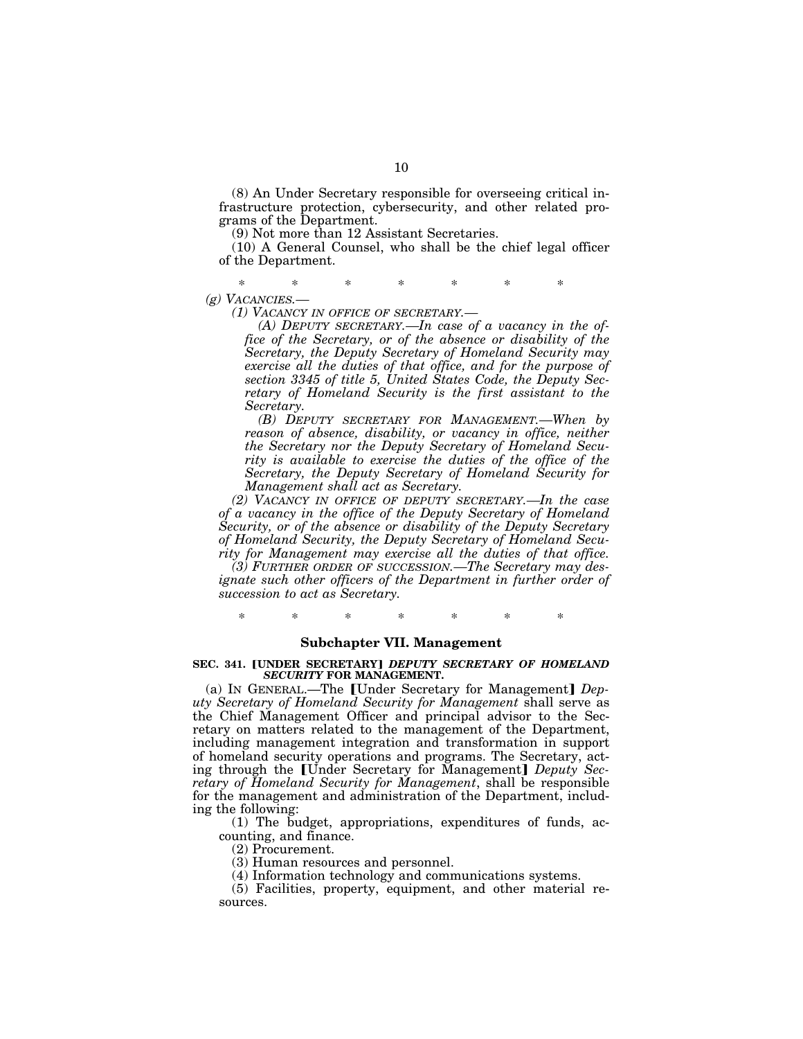(8) An Under Secretary responsible for overseeing critical infrastructure protection, cybersecurity, and other related programs of the Department.

(9) Not more than 12 Assistant Secretaries.

(10) A General Counsel, who shall be the chief legal officer of the Department.

\* \* \* \* \* \* \* *(g) VACANCIES.—* 

*(1) VACANCY IN OFFICE OF SECRETARY.—* 

*(A) DEPUTY SECRETARY.—In case of a vacancy in the office of the Secretary, or of the absence or disability of the Secretary, the Deputy Secretary of Homeland Security may exercise all the duties of that office, and for the purpose of section 3345 of title 5, United States Code, the Deputy Secretary of Homeland Security is the first assistant to the Secretary.* 

*(B) DEPUTY SECRETARY FOR MANAGEMENT.—When by reason of absence, disability, or vacancy in office, neither the Secretary nor the Deputy Secretary of Homeland Security is available to exercise the duties of the office of the Secretary, the Deputy Secretary of Homeland Security for Management shall act as Secretary.* 

*(2) VACANCY IN OFFICE OF DEPUTY SECRETARY.—In the case of a vacancy in the office of the Deputy Secretary of Homeland Security, or of the absence or disability of the Deputy Secretary of Homeland Security, the Deputy Secretary of Homeland Security for Management may exercise all the duties of that office.* 

*(3) FURTHER ORDER OF SUCCESSION.—The Secretary may designate such other officers of the Department in further order of succession to act as Secretary.* 

\* \* \* \* \* \* \*

### **Subchapter VII. Management**

### **SEC. 341. [UNDER SECRETARY] DEPUTY SECRETARY OF HOMELAND** *SECURITY* **FOR MANAGEMENT.**

(a) IN GENERAL.-The [Under Secretary for Management] Dep*uty Secretary of Homeland Security for Management* shall serve as the Chief Management Officer and principal advisor to the Secretary on matters related to the management of the Department, including management integration and transformation in support of homeland security operations and programs. The Secretary, acting through the [Under Secretary for Management] *Deputy Secretary of Homeland Security for Management*, shall be responsible for the management and administration of the Department, including the following:

(1) The budget, appropriations, expenditures of funds, accounting, and finance.

(2) Procurement.

(3) Human resources and personnel.

(4) Information technology and communications systems.

(5) Facilities, property, equipment, and other material resources.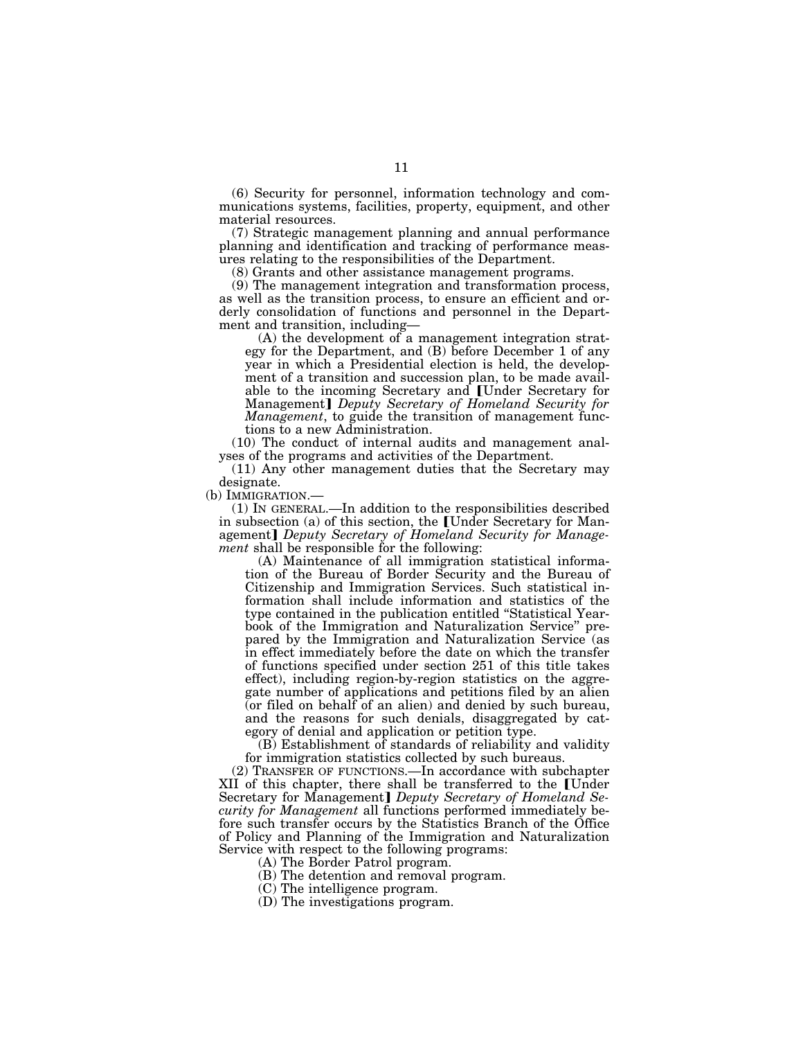(6) Security for personnel, information technology and communications systems, facilities, property, equipment, and other material resources.

(7) Strategic management planning and annual performance planning and identification and tracking of performance measures relating to the responsibilities of the Department.

(8) Grants and other assistance management programs.

(9) The management integration and transformation process, as well as the transition process, to ensure an efficient and orderly consolidation of functions and personnel in the Department and transition, including—

(A) the development of a management integration strategy for the Department, and (B) before December 1 of any year in which a Presidential election is held, the development of a transition and succession plan, to be made available to the incoming Secretary and [Under Secretary for Management] *Deputy Secretary of Homeland Security for Management*, to guide the transition of management functions to a new Administration.

(10) The conduct of internal audits and management analyses of the programs and activities of the Department.

(11) Any other management duties that the Secretary may designate.<br>(b) IMMIGRATION.—

 $(1)$  IN GENERAL.—In addition to the responsibilities described in subsection (a) of this section, the [Under Secretary for Management] Deputy Secretary of Homeland Security for Manage*ment* shall be responsible for the following:

(A) Maintenance of all immigration statistical information of the Bureau of Border Security and the Bureau of Citizenship and Immigration Services. Such statistical information shall include information and statistics of the type contained in the publication entitled ''Statistical Yearbook of the Immigration and Naturalization Service'' prepared by the Immigration and Naturalization Service (as in effect immediately before the date on which the transfer of functions specified under section 251 of this title takes effect), including region-by-region statistics on the aggregate number of applications and petitions filed by an alien (or filed on behalf of an alien) and denied by such bureau, and the reasons for such denials, disaggregated by category of denial and application or petition type.

(B) Establishment of standards of reliability and validity for immigration statistics collected by such bureaus.

(2) TRANSFER OF FUNCTIONS.—In accordance with subchapter XII of this chapter, there shall be transferred to the [Under] Secretary for Management] *Deputy Secretary of Homeland Security for Management* all functions performed immediately before such transfer occurs by the Statistics Branch of the Office of Policy and Planning of the Immigration and Naturalization Service with respect to the following programs:

(A) The Border Patrol program.

(B) The detention and removal program.

(C) The intelligence program.

(D) The investigations program.